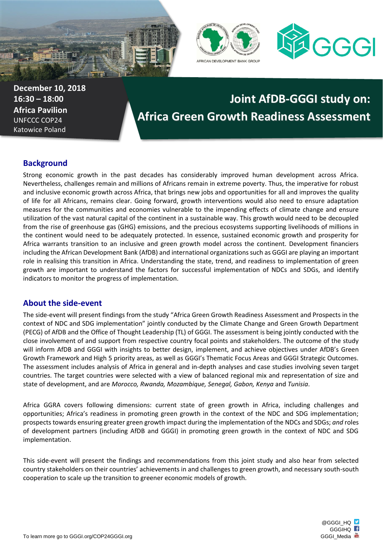





**December 10, 2018 16:30 – 18:00 Africa Pavilion** UNFCCC COP24 Katowice Poland

# **Joint AfDB-GGGI study on: Africa Green Growth Readiness Assessment**

## **Background**

Strong economic growth in the past decades has considerably improved human development across Africa. Nevertheless, challenges remain and millions of Africans remain in extreme poverty. Thus, the imperative for robust and inclusive economic growth across Africa, that brings new jobs and opportunities for all and improves the quality of life for all Africans, remains clear. Going forward, growth interventions would also need to ensure adaptation measures for the communities and economies vulnerable to the impending effects of climate change and ensure utilization of the vast natural capital of the continent in a sustainable way. This growth would need to be decoupled from the rise of greenhouse gas (GHG) emissions, and the precious ecosystems supporting livelihoods of millions in the continent would need to be adequately protected. In essence, sustained economic growth and prosperity for Africa warrants transition to an inclusive and green growth model across the continent. Development financiers including the African Development Bank (AfDB) and international organizations such as GGGI are playing an important role in realising this transition in Africa. Understanding the state, trend, and readiness to implementation of green growth are important to understand the factors for successful implementation of NDCs and SDGs, and identify indicators to monitor the progress of implementation.

### **About the side-event**

The side-event will present findings from the study "Africa Green Growth Readiness Assessment and Prospects in the context of NDC and SDG implementation" jointly conducted by the Climate Change and Green Growth Department (PECG) of AfDB and the Office of Thought Leadership (TL) of GGGI. The assessment is being jointly conducted with the close involvement of and support from respective country focal points and stakeholders. The outcome of the study will inform AfDB and GGGI with insights to better design, implement, and achieve objectives under AfDB's Green Growth Framework and High 5 priority areas, as well as GGGI's Thematic Focus Areas and GGGI Strategic Outcomes. The assessment includes analysis of Africa in general and in-depth analyses and case studies involving seven target countries. The target countries were selected with a view of balanced regional mix and representation of size and state of development, and are *Morocco, Rwanda, Mozambique, Senegal, Gabon, Kenya* and *Tunisia*.

Africa GGRA covers following dimensions: current state of green growth in Africa, including challenges and opportunities; Africa's readiness in promoting green growth in the context of the NDC and SDG implementation; prospects towards ensuring greater green growth impact during the implementation of the NDCs and SDGs; *and* roles of development partners (including AfDB and GGGI) in promoting green growth in the context of NDC and SDG implementation.

This side-event will present the findings and recommendations from this joint study and also hear from selected country stakeholders on their countries' achievements in and challenges to green growth, and necessary south-south cooperation to scale up the transition to greener economic models of growth.